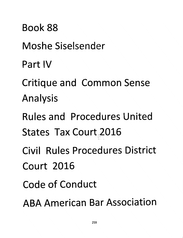Book 88 **Conductive** *Code* Part IV *Critique and Common Sense* **Analysis Rules** and **Procedures** United

**States Tax Court 2016** 

*Civil Rules Procedures District* **Court 2016** 

Code of Conduct

**ABA American Bar Association**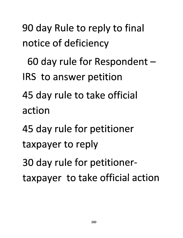90 day Rule to reply to final notice of deficiency

60 day rule for Respondent –

*iRS* to answer petition

- *petitioner for rule day 45* 45 day rule to take official
- *taxpayer to reply*
- **30 day rule for petitioner-**
- *Respondent ration ration <i>ration <i>ration* **<b>***<i>ration <i>ration <i>ration* **<b>***<i>ration <i>ration <i>ration ration ration ration ration ration ration* **<b>***ration ration*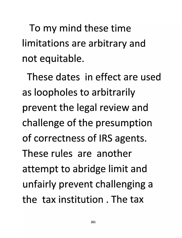*To my mind these time imitations are arbitrary and not equitable.*

*These dates in effect are used as loopholes to arbitrarily prevent the legal review and challenge of the presumption of correctness of IRS agents. These rules are another attempt to abridge limit and unfairly prevent challenging a the tax institution . The tax*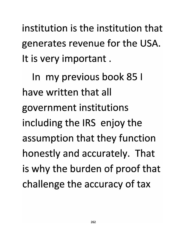*institution is the institution that generates revenue for the USA. It is very important.*

*In my previous book 85 have written that all government institutions including the IRS enjoy the assumption that they function honestly and accurately. That is why the burden of proof that challenge the accuracy of tax*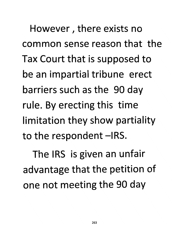*However, there exists no common sense reason that the Tax Court that is supposed to be an impartial tribune erect barriers such as the 90 day rule. By erecting this time imitation they show partiality to the respondent -IRS.*

*The IRS is given an unfair advantage that the petition of one not meeting the 90 day*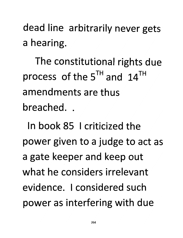*deadline arbitrarily never gets a hearing.*

*The constitutional rights due process ofthe5THand 14™ amendments are thus breached. .*

*In book 85 I criticized the power given to a judge to act as a gate keeper and keep out what he considers irrelevant evidence. I considered such power as interfering with due*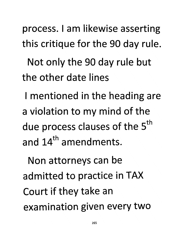*process. I am likewise asserting this critique for the 90 day rule.*

*Not only the 90 day rule but the other date lines*

*I mentioned in the heading are a violation to my mind of the due process clauses of the 5th th and 14 amendments.*

*Non attorneys can be admitted to practice in TAX Court if they take an examination given every two*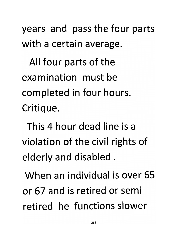*years and pass the four parts with a certain average.*

*All four parts of the examination must be completed in four hours. Critique.*

*This 4 hour dead line is a violation of the civil rights of elderly and disabled .*

*When an individual is over 65 or 67 and is retired or semi retired he functions slower*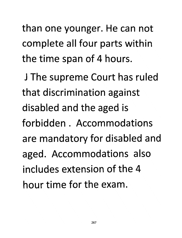*than one younger. He can not complete all four parts within the time span of 4 hours.*

*J The supreme Court has ruled that discrimination against disabled and the aged is forbidden . Accommodations are mandatory for disabled and aged. Accommodations also includes extension of the 4 hour time for the exam.*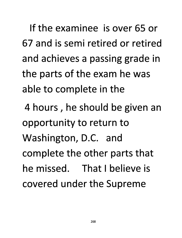*If the examinee is over 65 or 67 and is semi retired or retired and achieves a passing grade in the parts of the exam he was able to complete in the*

*4 hours, he should be given an opportunity to return to Washington, D.C. and complete the other parts that he missed. That I believe is covered under the Supreme*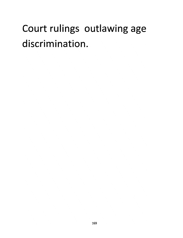## Court rulings outlawing age discrimination.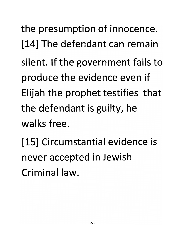the presumption of innocence. [14] The defendant can remain silent. If the government fails to *produce the evidence even if <u>Elijah the prophet testifies that</u>* the defendant is guilty, he *he guilty, is defendant the*

*<i><u>f</u> fails fail aw.* **never** accepted in Jewish [15] Circumstantial evidence is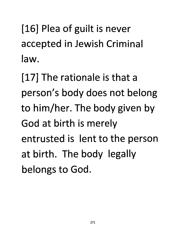*[16] Plea of guilt is never accepted in Jewish Crimina law.*

*[17] The rationale is that a person's body does not belong to him/her. The body given by God at birth is merely entrusted is lent to the person at birth. The body legally belongs to God.*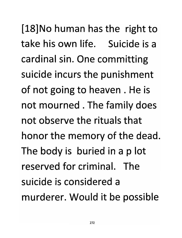*[18]No human has the right to take his own life. Suicide is a cardinal sin. One committing suicide incurs the punishment of not going to heaven . He is not mourned . The family does not observe the rituals that honor the memory of the dead. The body is buried in a p lot reserved for criminal. The suicide is considered a murderer. Would it be possible*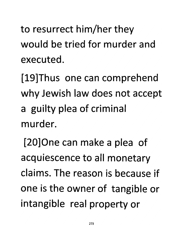*to resurrect him/her they would be tried for murder and executed.*

*[19]Thus one can comprehend why Jewish law does not accept a guilty plea of criminal murder.*

*[20]One can make a plea of acquiescence to all monetary claims. The reason is because if one is the owner of tangible or intangible real property or*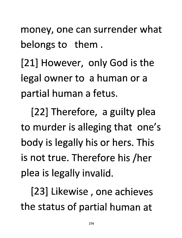*money, one can surrender what belongs to them .*

*[21] However, only God is the legal owner to a human or a partial human a fetus.*

*[22] Therefore, a guilty plea to murder is alleging that one's body is legally his or hers. This is not true. Therefore his /her plea is legally invalid.*

*[23] Likewise, one achieves the status of partial human at*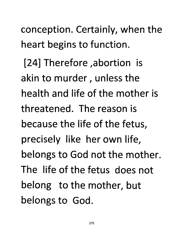*but mother, the to belong* conception. Certainly, when the<br>heart begins to function.

*the when Certainly, conception. function. to begins heart i*fe of the fetus does not **belongs to God not the mother.** *precisely like her own life,* **because the life of the fetus,** *threatened.* The reason is **health and life of the mother is akin to murder, unless the** *<u>f</u>* **24** *Therefore , abortion is*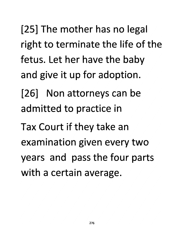[25] The mother has no legal right to terminate the life of the *fetus. Let her have the baby and* give it up for adoption. *[26] Non attorneys can be admitted to practice in Tax Court if they take an <u>examination</u>* given every two *<u>k</u>* **years and pass the four parts** *<u>with a certain average.</u>*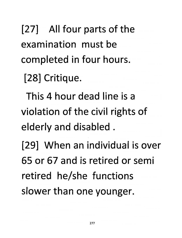[27] All four parts of the *<u>examination</u> must be completed* in four hours.

*semi or retired is and 67 or 65*

*<u>ightarity</u>* **and disabled.** *violation of the civil rights of This 4 hour dead line is a* 

slower than one younger. *retired he/she functions* 65 or 67 and is retired or semi *<u>[29]</u> When an individual is over*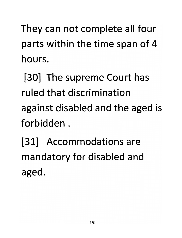*They can not complete all four parts within the time span of 4 hours.*

*[30] The supreme Court has ruled that discrimination against disabled and the aged is forbidden .*

*[31] Accommodations are mandatory for disabled and aged.*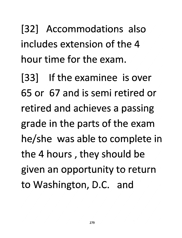[32] Accommodations also includes extension of the 4 **hour time for the exam.** 

*f* **331 If the examinee is over 65 or 67 and is semi retired or** *retired* and achieves a passing *grade in the parts of the exam he/she* was able to complete in the 4 hours, they should be given an opportunity to return *exam. the for time hour 4 the of extension includes*